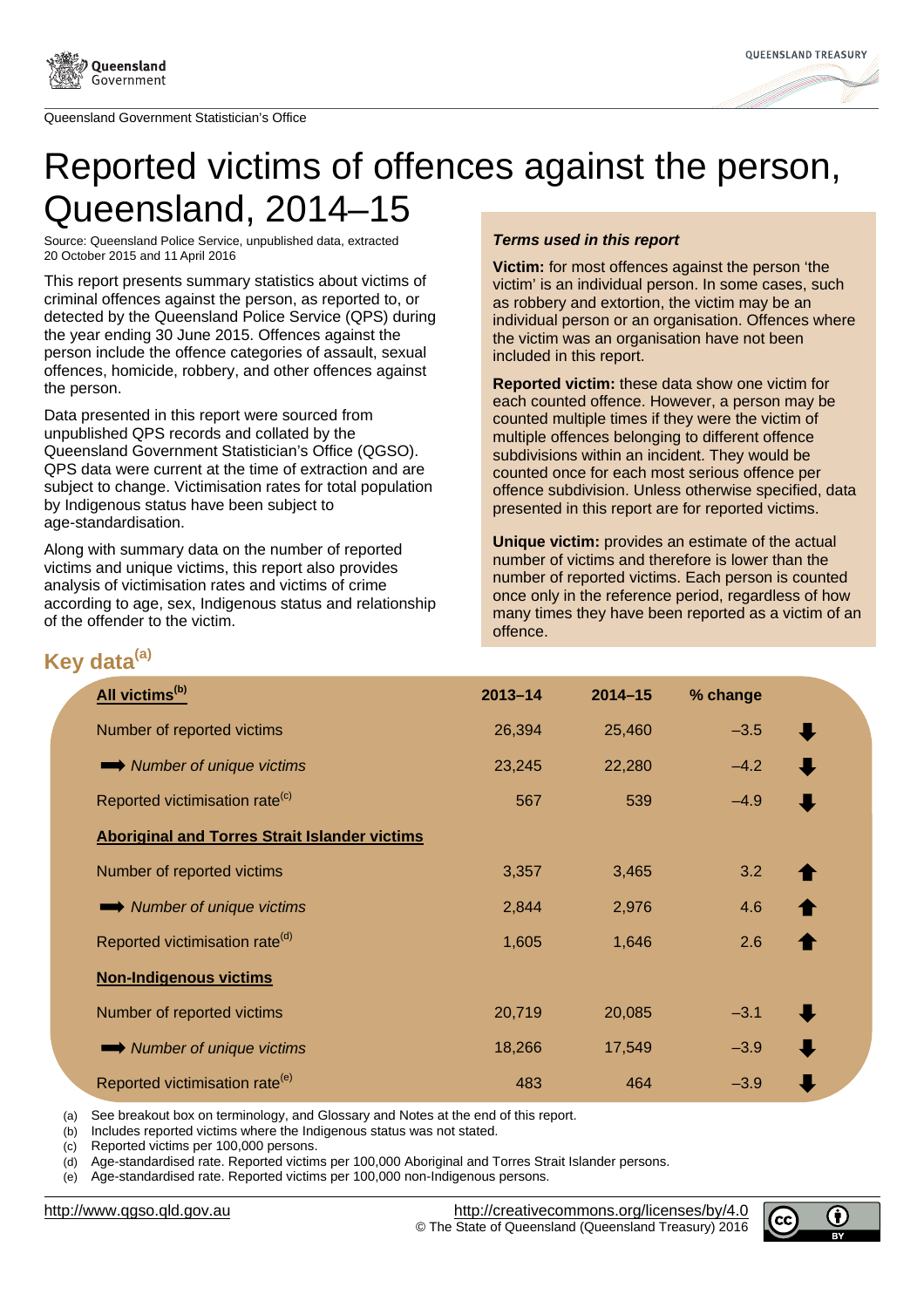



# Reported victims of offences against the person, Queensland, 2014–15

Source: Queensland Police Service, unpublished data, extracted 20 October 2015 and 11 April 2016

This report presents summary statistics about victims of criminal offences against the person, as reported to, or detected by the Queensland Police Service (QPS) during the year ending 30 June 2015. Offences against the person include the offence categories of assault, sexual offences, homicide, robbery, and other offences against the person.

Data presented in this report were sourced from unpublished QPS records and collated by the Queensland Government Statistician's Office (QGSO). QPS data were current at the time of extraction and are subject to change. Victimisation rates for total population by Indigenous status have been subject to age-standardisation.

Along with summary data on the number of reported victims and unique victims, this report also provides analysis of victimisation rates and victims of crime according to age, sex, Indigenous status and relationship of the offender to the victim.

## **Terms used in this report**

**Victim:** for most offences against the person 'the victim' is an individual person. In some cases, such as robbery and extortion, the victim may be an individual person or an organisation. Offences where the victim was an organisation have not been included in this report.

**Reported victim:** these data show one victim for each counted offence. However, a person may be counted multiple times if they were the victim of multiple offences belonging to different offence subdivisions within an incident. They would be counted once for each most serious offence per offence subdivision. Unless otherwise specified, data presented in this report are for reported victims.

**Unique victim:** provides an estimate of the actual number of victims and therefore is lower than the number of reported victims. Each person is counted once only in the reference period, regardless of how many times they have been reported as a victim of an offence.

# **Key data(a)**

| $2013 - 14$ | $2014 - 15$ | % change |           |
|-------------|-------------|----------|-----------|
| 26,394      | 25,460      | $-3.5$   | J         |
| 23,245      | 22,280      | $-4.2$   |           |
| 567         | 539         | $-4.9$   |           |
|             |             |          |           |
| 3,357       | 3,465       | 3.2      |           |
| 2,844       | 2,976       | 4.6      |           |
| 1,605       | 1,646       | 2.6      |           |
|             |             |          |           |
| 20,719      | 20,085      | $-3.1$   | $\bullet$ |
| 18,266      | 17,549      | $-3.9$   |           |
| 483         | 464         | $-3.9$   |           |
|             |             |          |           |

(a) See breakout box on terminology, and Glossary and Notes at the end of this report.

(b) Includes reported victims where the Indigenous status was not stated.

(c) Reported victims per 100,000 persons.

(d) Age-standardised rate. Reported victims per 100,000 Aboriginal and Torres Strait Islander persons.

(e) Age-standardised rate. Reported victims per 100,000 non-Indigenous persons.

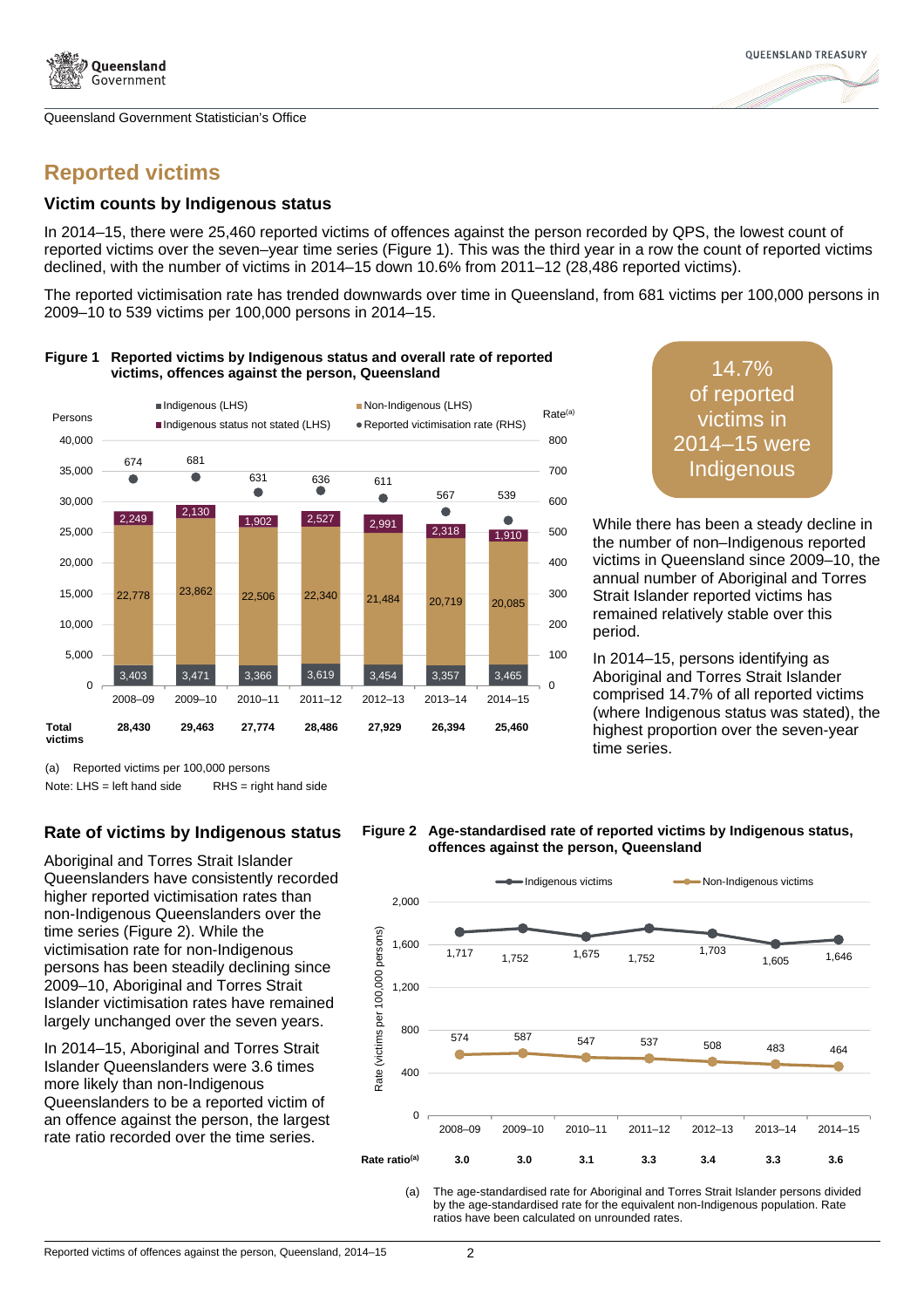



# **Reported victims**

#### **Victim counts by Indigenous status**

In 2014–15, there were 25,460 reported victims of offences against the person recorded by QPS, the lowest count of reported victims over the seven–year time series (Figure 1). This was the third year in a row the count of reported victims declined, with the number of victims in 2014–15 down 10.6% from 2011–12 (28,486 reported victims).

The reported victimisation rate has trended downwards over time in Queensland, from 681 victims per 100,000 persons in 2009–10 to 539 victims per 100,000 persons in 2014–15.



#### **Figure 1 Reported victims by Indigenous status and overall rate of reported victims, offences against the person, Queensland** 14.7%

of reported victims in 2014–15 were **Indigenous** 

While there has been a steady decline in the number of non–Indigenous reported victims in Queensland since 2009–10, the annual number of Aboriginal and Torres Strait Islander reported victims has remained relatively stable over this period.

In 2014–15, persons identifying as Aboriginal and Torres Strait Islander comprised 14.7% of all reported victims (where Indigenous status was stated), the highest proportion over the seven-year time series.

(a) Reported victims per 100,000 persons

Note:  $LHS = left$  hand side  $RHS = right$  hand side

# **Rate of victims by Indigenous status**

Aboriginal and Torres Strait Islander Queenslanders have consistently recorded higher reported victimisation rates than non-Indigenous Queenslanders over the time series (Figure 2). While the victimisation rate for non-Indigenous persons has been steadily declining since 2009–10, Aboriginal and Torres Strait Islander victimisation rates have remained largely unchanged over the seven years.

In 2014–15, Aboriginal and Torres Strait Islander Queenslanders were 3.6 times more likely than non-Indigenous Queenslanders to be a reported victim of an offence against the person, the largest rate ratio recorded over the time series.





(a) The age-standardised rate for Aboriginal and Torres Strait Islander persons divided by the age-standardised rate for the equivalent non-Indigenous population. Rate ratios have been calculated on unrounded rates.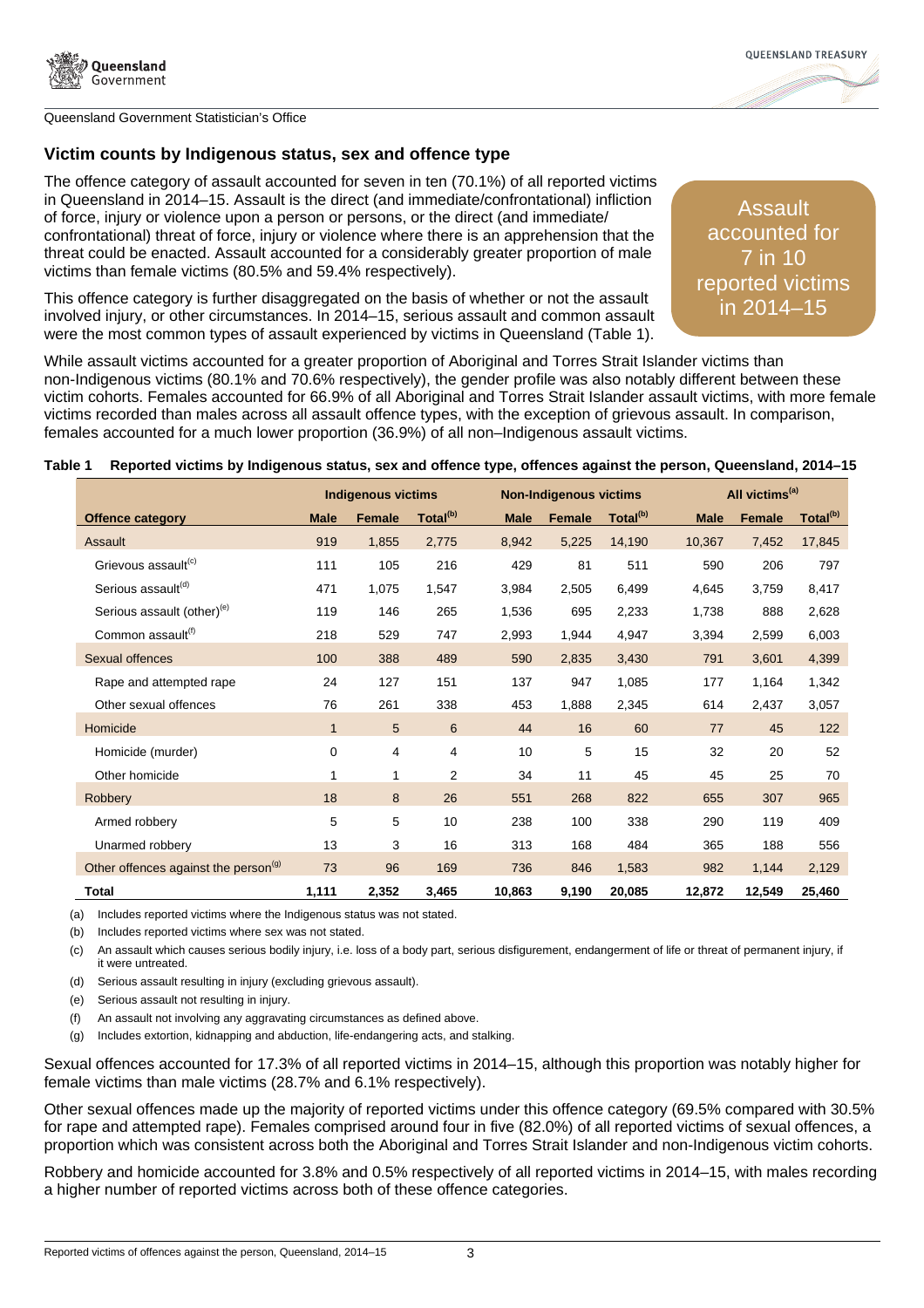



# **Victim counts by Indigenous status, sex and offence type**

The offence category of assault accounted for seven in ten (70.1%) of all reported victims in Queensland in 2014–15. Assault is the direct (and immediate/confrontational) infliction of force, injury or violence upon a person or persons, or the direct (and immediate/ confrontational) threat of force, injury or violence where there is an apprehension that the threat could be enacted. Assault accounted for a considerably greater proportion of male victims than female victims (80.5% and 59.4% respectively).

This offence category is further disaggregated on the basis of whether or not the assault involved injury, or other circumstances. In 2014–15, serious assault and common assault were the most common types of assault experienced by victims in Queensland (Table 1).

Assault accounted for 7 in 10 reported victims in 2014–15

While assault victims accounted for a greater proportion of Aboriginal and Torres Strait Islander victims than non-Indigenous victims (80.1% and 70.6% respectively), the gender profile was also notably different between these victim cohorts. Females accounted for 66.9% of all Aboriginal and Torres Strait Islander assault victims, with more female victims recorded than males across all assault offence types, with the exception of grievous assault. In comparison, females accounted for a much lower proportion (36.9%) of all non–Indigenous assault victims.

#### **Table 1 Reported victims by Indigenous status, sex and offence type, offences against the person, Queensland, 2014–15**

|                                                  | <b>Indigenous victims</b> |               |                      |             | <b>Non-Indigenous victims</b> |                      |             | All victims <sup>(a)</sup> |                      |  |
|--------------------------------------------------|---------------------------|---------------|----------------------|-------------|-------------------------------|----------------------|-------------|----------------------------|----------------------|--|
| <b>Offence category</b>                          | <b>Male</b>               | <b>Female</b> | Total <sup>(b)</sup> | <b>Male</b> | <b>Female</b>                 | Total <sup>(b)</sup> | <b>Male</b> | <b>Female</b>              | Total <sup>(b)</sup> |  |
| <b>Assault</b>                                   | 919                       | 1,855         | 2,775                | 8,942       | 5,225                         | 14,190               | 10,367      | 7,452                      | 17,845               |  |
| Grievous assault <sup>(c)</sup>                  | 111                       | 105           | 216                  | 429         | 81                            | 511                  | 590         | 206                        | 797                  |  |
| Serious assault <sup>(d)</sup>                   | 471                       | 1,075         | 1,547                | 3,984       | 2,505                         | 6,499                | 4,645       | 3,759                      | 8,417                |  |
| Serious assault (other) <sup>(e)</sup>           | 119                       | 146           | 265                  | 1,536       | 695                           | 2,233                | 1,738       | 888                        | 2,628                |  |
| Common assault <sup>(f)</sup>                    | 218                       | 529           | 747                  | 2,993       | 1,944                         | 4,947                | 3,394       | 2,599                      | 6,003                |  |
| Sexual offences                                  | 100                       | 388           | 489                  | 590         | 2,835                         | 3,430                | 791         | 3,601                      | 4,399                |  |
| Rape and attempted rape                          | 24                        | 127           | 151                  | 137         | 947                           | 1,085                | 177         | 1,164                      | 1,342                |  |
| Other sexual offences                            | 76                        | 261           | 338                  | 453         | 1,888                         | 2,345                | 614         | 2,437                      | 3,057                |  |
| Homicide                                         | $\mathbf{1}$              | 5             | $6\phantom{1}$       | 44          | 16                            | 60                   | 77          | 45                         | 122                  |  |
| Homicide (murder)                                | 0                         | 4             | 4                    | 10          | 5                             | 15                   | 32          | 20                         | 52                   |  |
| Other homicide                                   | 1                         | 1             | $\overline{2}$       | 34          | 11                            | 45                   | 45          | 25                         | 70                   |  |
| Robbery                                          | 18                        | 8             | 26                   | 551         | 268                           | 822                  | 655         | 307                        | 965                  |  |
| Armed robbery                                    | 5                         | 5             | 10                   | 238         | 100                           | 338                  | 290         | 119                        | 409                  |  |
| Unarmed robbery                                  | 13                        | 3             | 16                   | 313         | 168                           | 484                  | 365         | 188                        | 556                  |  |
| Other offences against the person <sup>(g)</sup> | 73                        | 96            | 169                  | 736         | 846                           | 1,583                | 982         | 1,144                      | 2,129                |  |
| Total                                            | 1,111                     | 2,352         | 3,465                | 10,863      | 9,190                         | 20,085               | 12,872      | 12,549                     | 25,460               |  |

(a) Includes reported victims where the Indigenous status was not stated.

(b) Includes reported victims where sex was not stated.

(c) An assault which causes serious bodily injury, i.e. loss of a body part, serious disfigurement, endangerment of life or threat of permanent injury, if it were untreated.

(d) Serious assault resulting in injury (excluding grievous assault).

(e) Serious assault not resulting in injury.

(f) An assault not involving any aggravating circumstances as defined above.

(g) Includes extortion, kidnapping and abduction, life-endangering acts, and stalking.

Sexual offences accounted for 17.3% of all reported victims in 2014–15, although this proportion was notably higher for female victims than male victims (28.7% and 6.1% respectively).

Other sexual offences made up the majority of reported victims under this offence category (69.5% compared with 30.5% for rape and attempted rape). Females comprised around four in five (82.0%) of all reported victims of sexual offences, a proportion which was consistent across both the Aboriginal and Torres Strait Islander and non-Indigenous victim cohorts.

Robbery and homicide accounted for 3.8% and 0.5% respectively of all reported victims in 2014–15, with males recording a higher number of reported victims across both of these offence categories.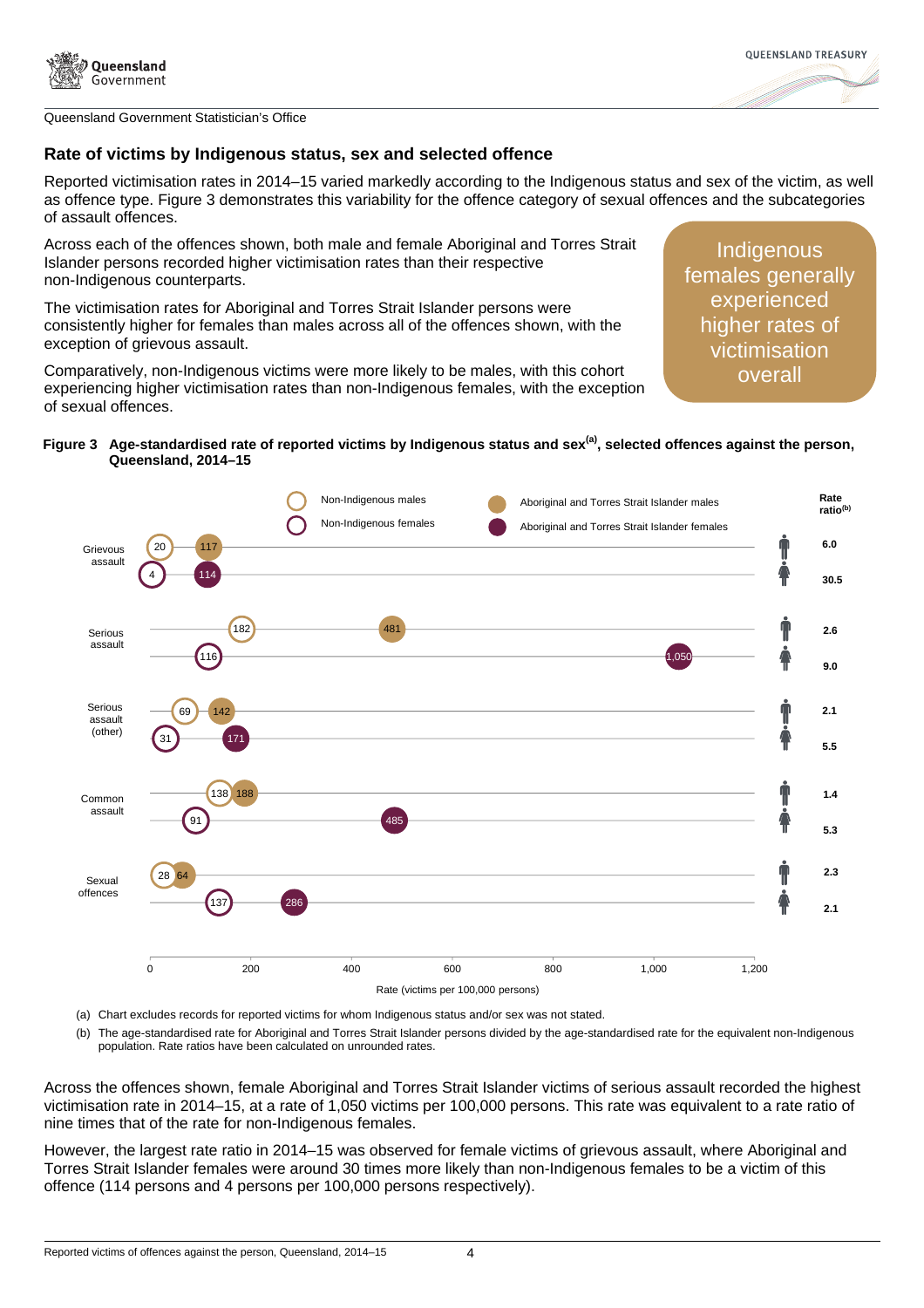



### **Rate of victims by Indigenous status, sex and selected offence**

Reported victimisation rates in 2014–15 varied markedly according to the Indigenous status and sex of the victim, as well as offence type. Figure 3 demonstrates this variability for the offence category of sexual offences and the subcategories of assault offences.

Across each of the offences shown, both male and female Aboriginal and Torres Strait Islander persons recorded higher victimisation rates than their respective non-Indigenous counterparts.

The victimisation rates for Aboriginal and Torres Strait Islander persons were consistently higher for females than males across all of the offences shown, with the exception of grievous assault.

Comparatively, non-Indigenous victims were more likely to be males, with this cohort experiencing higher victimisation rates than non-Indigenous females, with the exception of sexual offences.

**Indigenous** females generally experienced higher rates of victimisation overall

#### **Figure 3 Age-standardised rate of reported victims by Indigenous status and sex(a), selected offences against the person, Queensland, 2014–15**



(a) Chart excludes records for reported victims for whom Indigenous status and/or sex was not stated.

(b) The age-standardised rate for Aboriginal and Torres Strait Islander persons divided by the age-standardised rate for the equivalent non-Indigenous population. Rate ratios have been calculated on unrounded rates.

Across the offences shown, female Aboriginal and Torres Strait Islander victims of serious assault recorded the highest victimisation rate in 2014–15, at a rate of 1,050 victims per 100,000 persons. This rate was equivalent to a rate ratio of nine times that of the rate for non-Indigenous females.

However, the largest rate ratio in 2014–15 was observed for female victims of grievous assault, where Aboriginal and Torres Strait Islander females were around 30 times more likely than non-Indigenous females to be a victim of this offence (114 persons and 4 persons per 100,000 persons respectively).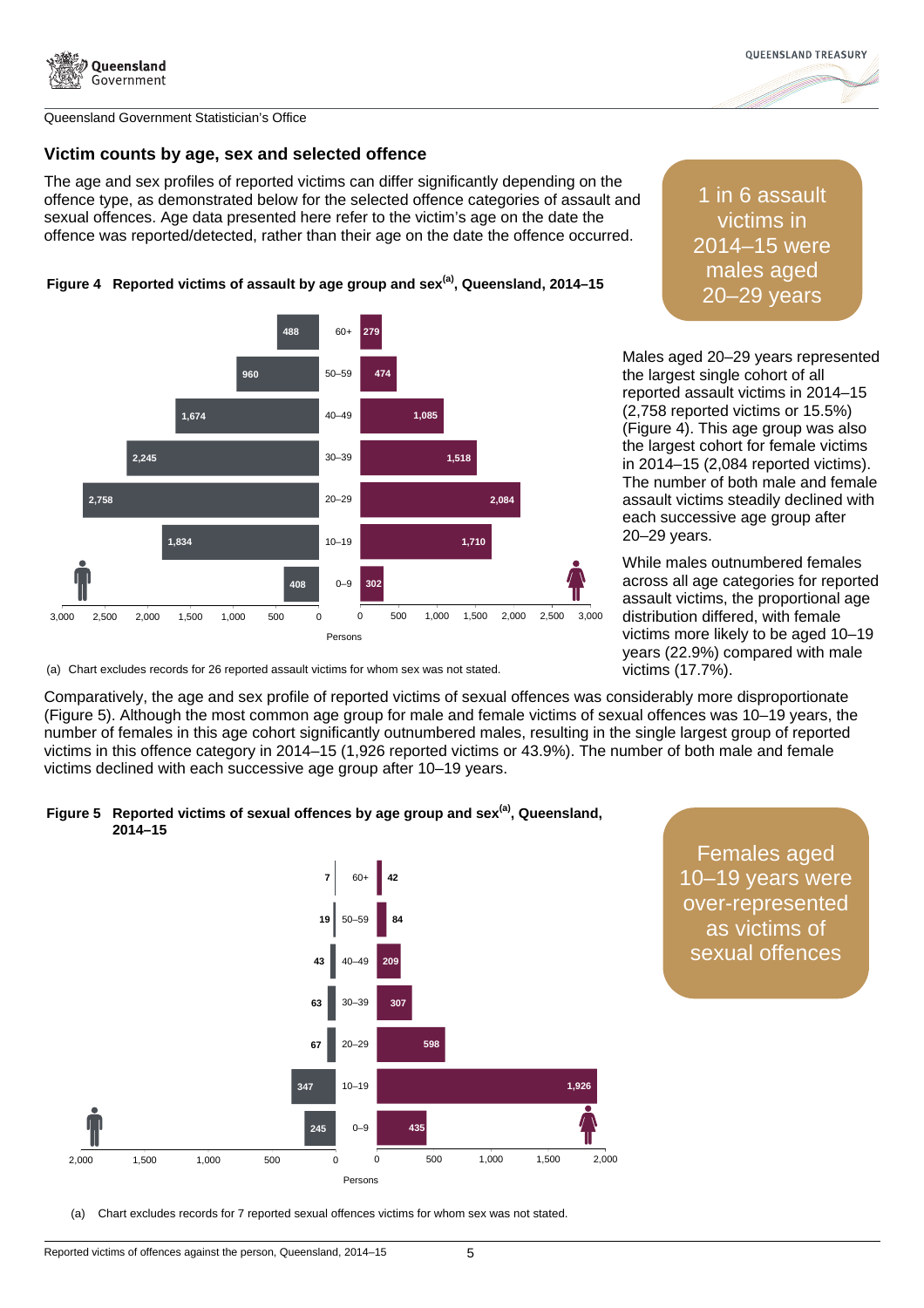



## **Victim counts by age, sex and selected offence**

The age and sex profiles of reported victims can differ significantly depending on the offence type, as demonstrated below for the selected offence categories of assault and sexual offences. Age data presented here refer to the victim's age on the date the offence was reported/detected, rather than their age on the date the offence occurred.



1 in 6 assault victims in 2014–15 were males aged

Males aged 20–29 years represented the largest single cohort of all reported assault victims in 2014–15 (2,758 reported victims or 15.5%) (Figure 4). This age group was also the largest cohort for female victims in 2014–15 (2,084 reported victims). The number of both male and female assault victims steadily declined with each successive age group after 20–29 years.

While males outnumbered females across all age categories for reported assault victims, the proportional age distribution differed, with female victims more likely to be aged 10–19 years (22.9%) compared with male victims (17.7%).

(a) Chart excludes records for 26 reported assault victims for whom sex was not stated.

Comparatively, the age and sex profile of reported victims of sexual offences was considerably more disproportionate (Figure 5). Although the most common age group for male and female victims of sexual offences was 10–19 years, the number of females in this age cohort significantly outnumbered males, resulting in the single largest group of reported victims in this offence category in 2014–15 (1,926 reported victims or 43.9%). The number of both male and female victims declined with each successive age group after 10–19 years.

## **Figure 5 Reported victims of sexual offences by age group and sex(a), Queensland, 2014–15**



Females aged 10–19 years were over-represented as victims of sexual offences

(a) Chart excludes records for 7 reported sexual offences victims for whom sex was not stated.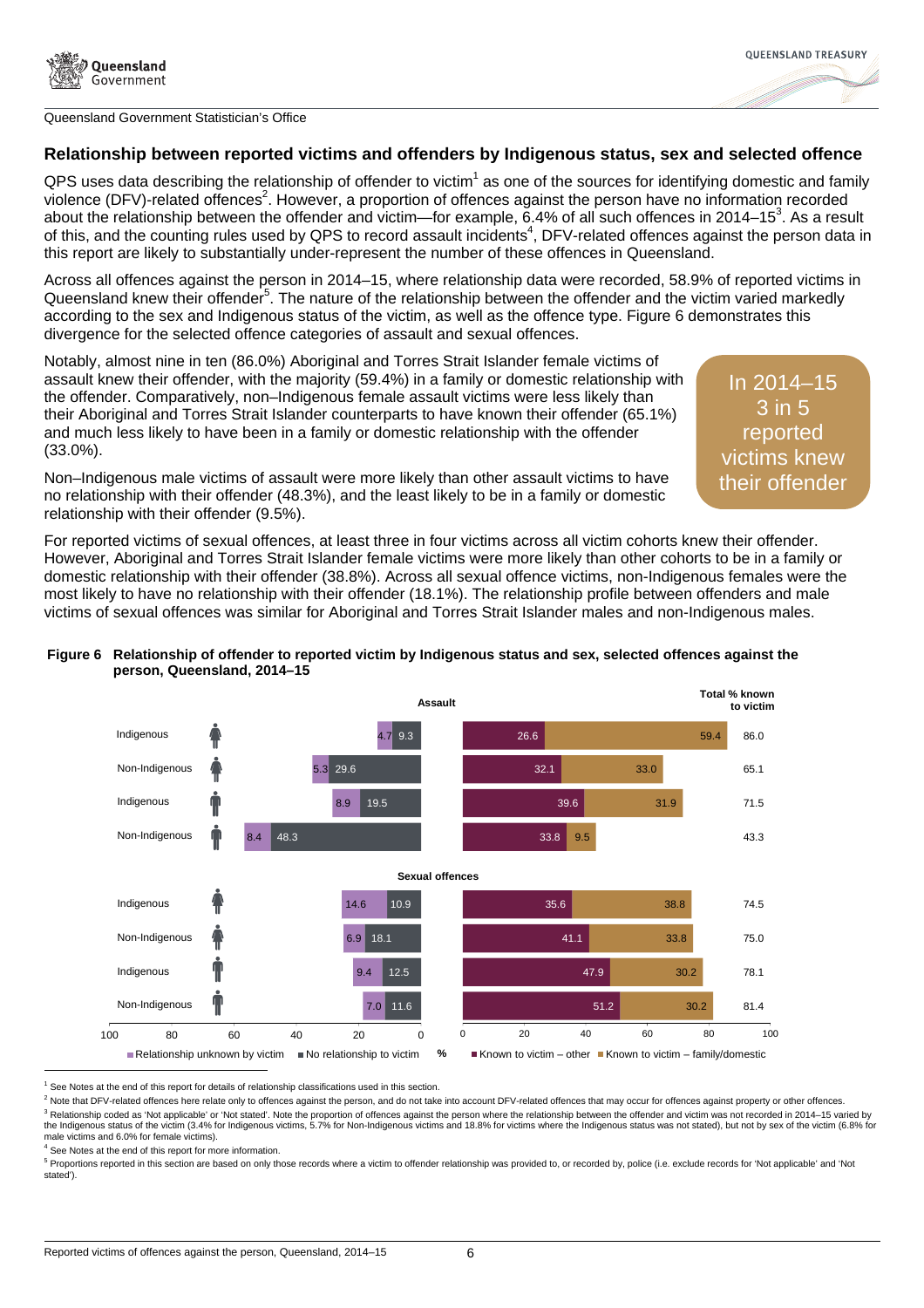

## **Relationship between reported victims and offenders by Indigenous status, sex and selected offence**

QPS uses data describing the relationship of offender to victim<sup>1</sup> as one of the sources for identifying domestic and family violence (DFV)-related offences<sup>2</sup>. However, a proportion of offences against the person have no information recorded about the relationship between the offender and victim—for example, 6.4% of all such offences in 2014–15<sup>3</sup>. As a result of this, and the counting rules used by QPS to record assault incidents<sup>4</sup>, DFV-related offences against the person data in this report are likely to substantially under-represent the number of these offences in Queensland.

Across all offences against the person in 2014–15, where relationship data were recorded, 58.9% of reported victims in Queensland knew their offender<sup>5</sup>. The nature of the relationship between the offender and the victim varied markedly according to the sex and Indigenous status of the victim, as well as the offence type. Figure 6 demonstrates this divergence for the selected offence categories of assault and sexual offences.

Notably, almost nine in ten (86.0%) Aboriginal and Torres Strait Islander female victims of assault knew their offender, with the majority (59.4%) in a family or domestic relationship with the offender. Comparatively, non–Indigenous female assault victims were less likely than their Aboriginal and Torres Strait Islander counterparts to have known their offender (65.1%) and much less likely to have been in a family or domestic relationship with the offender (33.0%).

In 2014–15 3 in 5 reported victims knew their offender

**OUFFNSI AND TREASURY** 

Non–Indigenous male victims of assault were more likely than other assault victims to have no relationship with their offender (48.3%), and the least likely to be in a family or domestic relationship with their offender (9.5%).

For reported victims of sexual offences, at least three in four victims across all victim cohorts knew their offender. However, Aboriginal and Torres Strait Islander female victims were more likely than other cohorts to be in a family or domestic relationship with their offender (38.8%). Across all sexual offence victims, non-Indigenous females were the most likely to have no relationship with their offender (18.1%). The relationship profile between offenders and male victims of sexual offences was similar for Aboriginal and Torres Strait Islander males and non-Indigenous males.

#### **Figure 6 Relationship of offender to reported victim by Indigenous status and sex, selected offences against the person, Queensland, 2014–15**



<sup>&</sup>lt;sup>1</sup> See Notes at the end of this report for details of relationship classifications used in this section.

<sup>2</sup> Note that DFV-related offences here relate only to offences against the person, and do not take into account DFV-related offences that may occur for offences against property or other offences. <sup>3</sup> Relationship coded as 'Not applicable' or 'Not stated'. Note the proportion of offences against the person where the relationship between the offender and victim was not recorded in 2014–15 varied by the Indigenous status of the victim (3.4% for Indigenous victims, 5.7% for Non-Indigenous victims and 18.8% for victims where the Indigenous status was not stated), but not by sex of the victim (6.8% for male victims and 6.0% for female victims).

l

<sup>5</sup> Proportions reported in this section are based on only those records where a victim to offender relationship was provided to, or recorded by, police (i.e. exclude records for 'Not applicable' and 'Not stated').

<sup>&</sup>lt;sup>4</sup> See Notes at the end of this report for more information.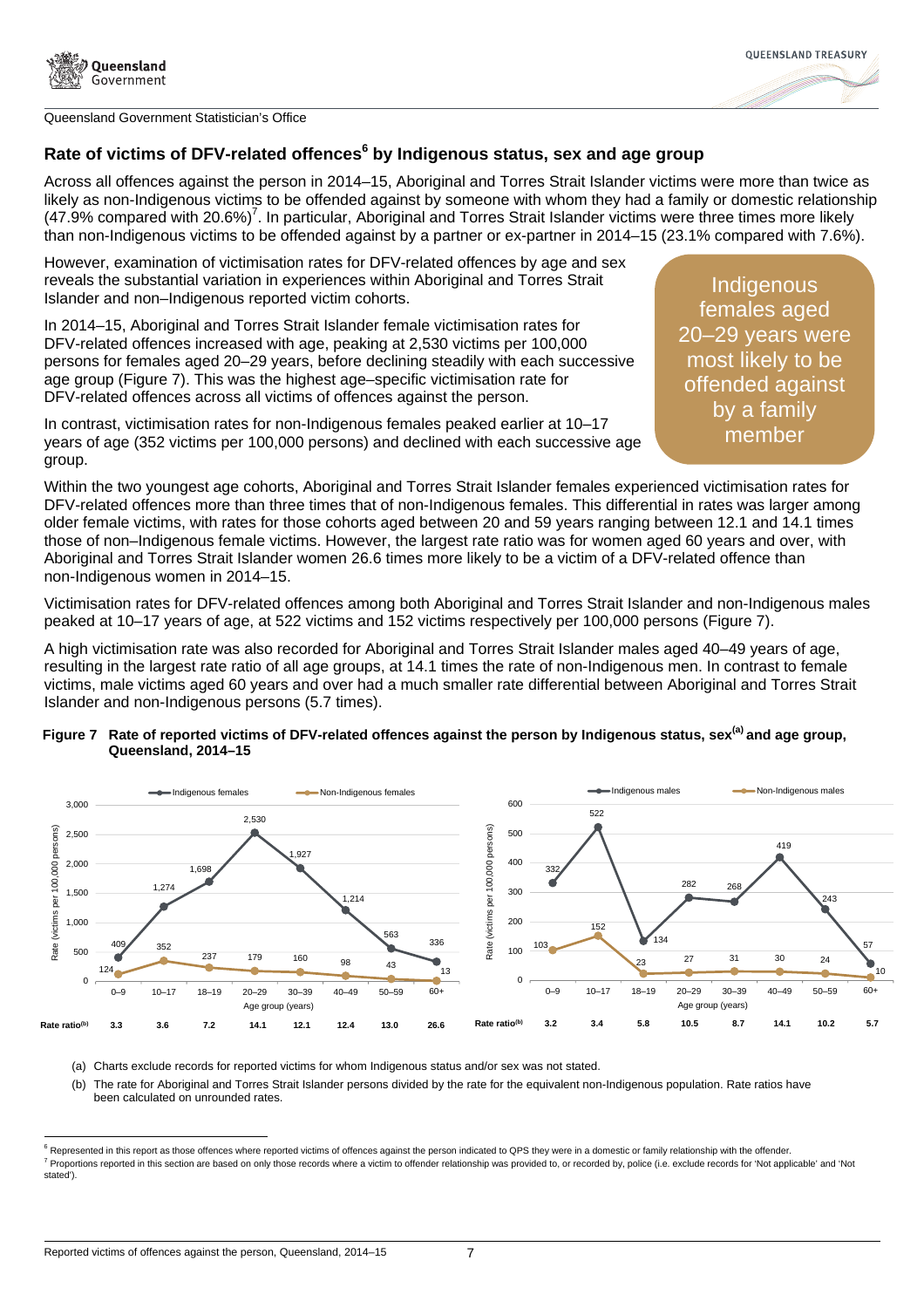

# **Rate of victims of DFV-related offences<sup>6</sup> by Indigenous status, sex and age group**

Across all offences against the person in 2014–15, Aboriginal and Torres Strait Islander victims were more than twice as likely as non-Indigenous victims to be offended against by someone with whom they had a family or domestic relationship  $(47.9\%$  compared with 20.6%)<sup>7</sup>. In particular, Aboriginal and Torres Strait Islander victims were three times more likely than non-Indigenous victims to be offended against by a partner or ex-partner in 2014–15 (23.1% compared with 7.6%).

However, examination of victimisation rates for DFV-related offences by age and sex reveals the substantial variation in experiences within Aboriginal and Torres Strait Islander and non–Indigenous reported victim cohorts.

In 2014–15, Aboriginal and Torres Strait Islander female victimisation rates for DFV-related offences increased with age, peaking at 2,530 victims per 100,000 persons for females aged 20–29 years, before declining steadily with each successive age group (Figure 7). This was the highest age–specific victimisation rate for DFV-related offences across all victims of offences against the person.

**Indigenous** females aged 20–29 years were most likely to be offended against by a family member

**OUFFNSI AND TREASURY** 

In contrast, victimisation rates for non-Indigenous females peaked earlier at 10–17 years of age (352 victims per 100,000 persons) and declined with each successive age group.

Within the two youngest age cohorts, Aboriginal and Torres Strait Islander females experienced victimisation rates for DFV-related offences more than three times that of non-Indigenous females. This differential in rates was larger among older female victims, with rates for those cohorts aged between 20 and 59 years ranging between 12.1 and 14.1 times those of non–Indigenous female victims. However, the largest rate ratio was for women aged 60 years and over, with Aboriginal and Torres Strait Islander women 26.6 times more likely to be a victim of a DFV-related offence than non-Indigenous women in 2014–15.

Victimisation rates for DFV-related offences among both Aboriginal and Torres Strait Islander and non-Indigenous males peaked at 10–17 years of age, at 522 victims and 152 victims respectively per 100,000 persons (Figure 7).

A high victimisation rate was also recorded for Aboriginal and Torres Strait Islander males aged 40–49 years of age, resulting in the largest rate ratio of all age groups, at 14.1 times the rate of non-Indigenous men. In contrast to female victims, male victims aged 60 years and over had a much smaller rate differential between Aboriginal and Torres Strait Islander and non-Indigenous persons (5.7 times).

#### **Figure 7 Rate of reported victims of DFV-related offences against the person by Indigenous status, sex(a) and age group, Queensland, 2014–15**



(a) Charts exclude records for reported victims for whom Indigenous status and/or sex was not stated.

(b) The rate for Aboriginal and Torres Strait Islander persons divided by the rate for the equivalent non-Indigenous population. Rate ratios have been calculated on unrounded rates.

l

<sup>&</sup>lt;sup>6</sup> Represented in this report as those offences where reported victims of offences against the person indicated to QPS they were in a domestic or family relationship with the offender. <sup>7</sup> Proportions reported in this section are based on only those records where a victim to offender relationship was provided to, or recorded by, police (i.e. exclude records for 'Not applicable' and 'Not stated').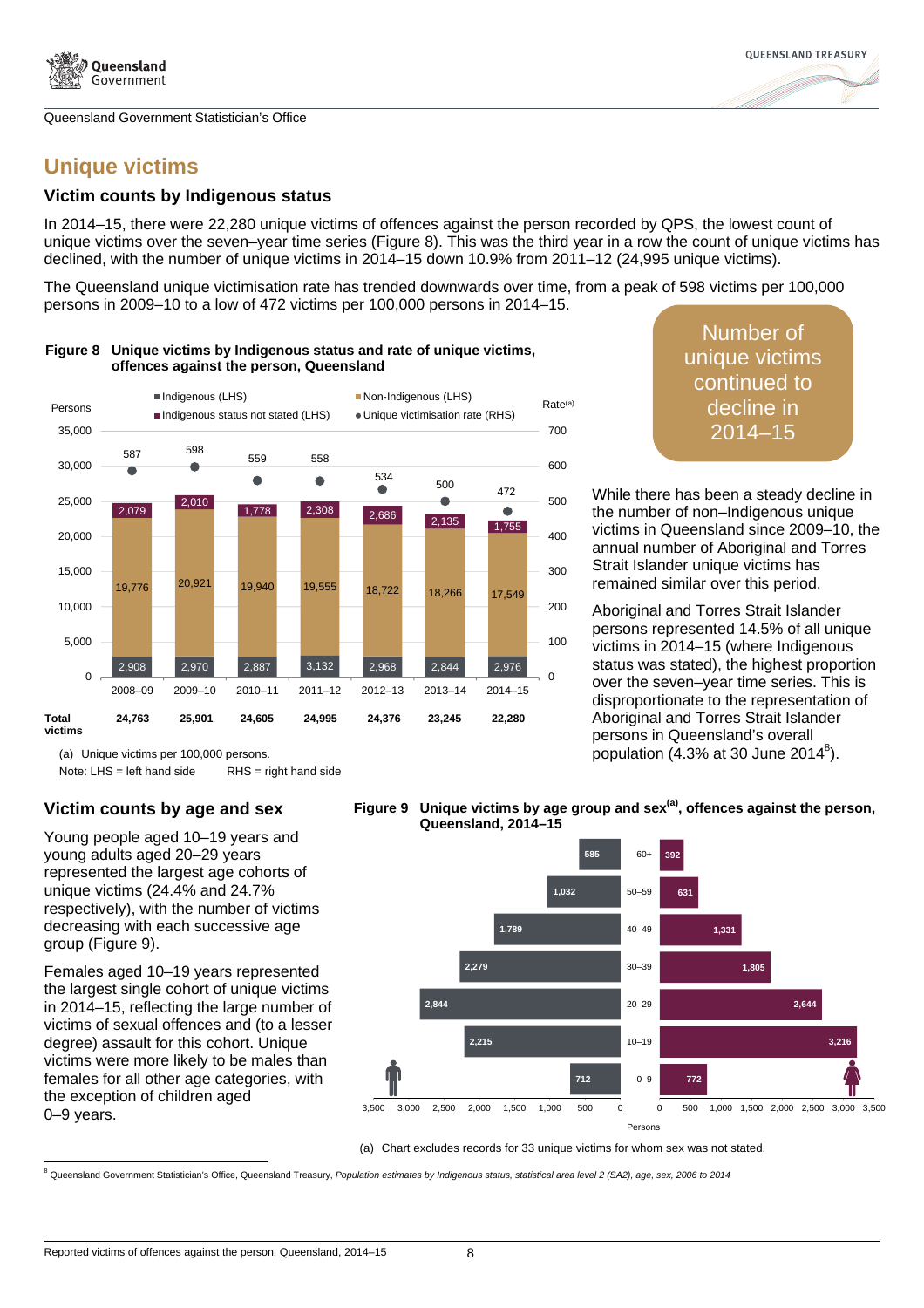

# **Unique victims**

## **Victim counts by Indigenous status**

In 2014–15, there were 22,280 unique victims of offences against the person recorded by QPS, the lowest count of unique victims over the seven–year time series (Figure 8). This was the third year in a row the count of unique victims has declined, with the number of unique victims in 2014–15 down 10.9% from 2011–12 (24,995 unique victims).

The Queensland unique victimisation rate has trended downwards over time, from a peak of 598 victims per 100,000 persons in 2009–10 to a low of 472 victims per 100,000 persons in 2014–15.



#### **Figure 8 Unique victims by Indigenous status and rate of unique victims, offences against the person, Queensland**

Number of unique victims continued to decline in 2014–15

While there has been a steady decline in the number of non–Indigenous unique victims in Queensland since 2009–10, the annual number of Aboriginal and Torres Strait Islander unique victims has remained similar over this period.

Aboriginal and Torres Strait Islander persons represented 14.5% of all unique victims in 2014–15 (where Indigenous status was stated), the highest proportion over the seven–year time series. This is disproportionate to the representation of Aboriginal and Torres Strait Islander persons in Queensland's overall population (4.3% at 30 June 2014 $^8$ ).

(a) Unique victims per 100,000 persons.

Note: LHS = left hand side RHS = right hand side

# **Victim counts by age and sex**

Young people aged 10–19 years and young adults aged 20–29 years represented the largest age cohorts of unique victims (24.4% and 24.7% respectively), with the number of victims decreasing with each successive age group (Figure 9).

Females aged 10–19 years represented the largest single cohort of unique victims in 2014–15, reflecting the large number of victims of sexual offences and (to a lesser degree) assault for this cohort. Unique victims were more likely to be males than females for all other age categories, with the exception of children aged 0–9 years.



(a) Chart excludes records for 33 unique victims for whom sex was not stated.

<sup>8</sup><br>Rueensland Government Statistician's Office, Queensland Treasury, *Population estimates by Indigenous status, statistical area level 2 (SA2), age, sex, 2006 to 2014*